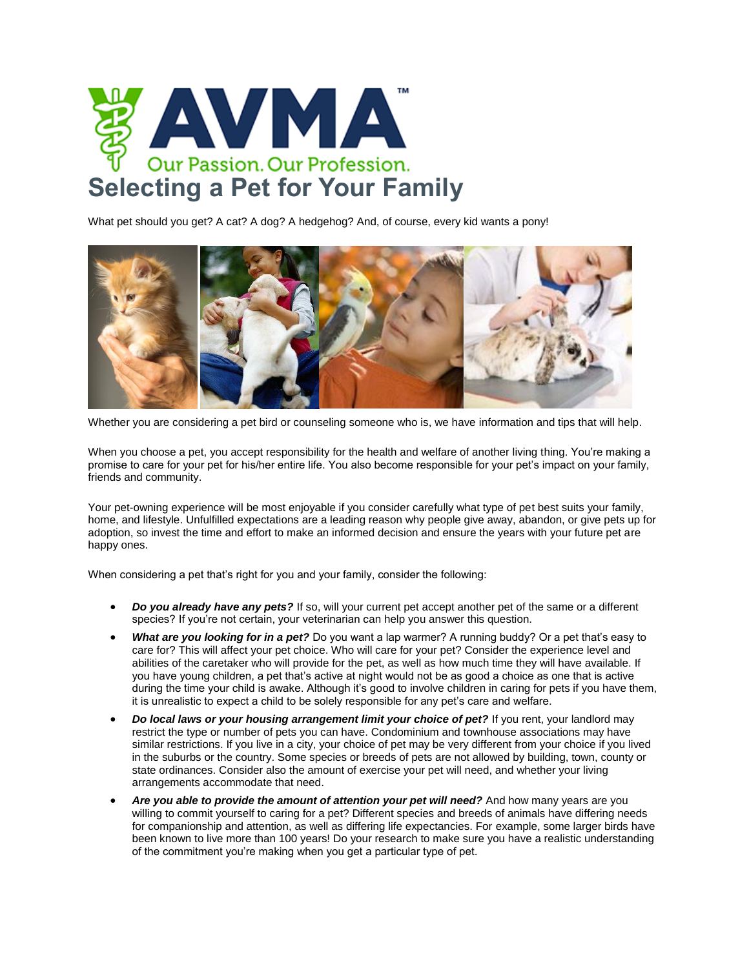

What pet should you get? A [cat?](https://www.avma.org/public/PetCare/Pages/Selecting-a-Pet-Cat.aspx) A [dog?](https://www.avma.org/public/PetCare/Pages/Selecting-a-Pet-Dog.aspx) A hedgehog? And, of course, every kid wants a [pony!](https://www.avma.org/public/PetCare/Pages/Selecting-a-Pet-Horse.aspx)



Whether you are considering a pet bird or counseling someone who is, we have [information and tips that will help.](https://www.avma.org/public/PetCare/Pages/Selecting-a-Pet-Bird.aspx)

When you choose a pet, [you accept responsibility for the health and welfare of another living thing.](https://www.avma.org/public/PetCare/Pages/responsible-pet-ownership.aspx) You're making a promise to care for your pet for his/her entire life. You also become responsible for your pet's impact on your family, friends and community.

Your pet-owning experience will be most enjoyable if you consider carefully what type of pet best suits your family, home, and lifestyle. Unfulfilled expectations are a leading reason why people give away, abandon, or give pets up for adoption, so invest the time and effort to make an informed decision and ensure the years with your future pet are happy ones.

When considering a pet that's right for you and your family, consider the following:

- *Do you already have any pets?* If so, will your current pet accept another pet of the same or a different species? If you're not certain, your veterinarian can help you answer this question.
- *What are you looking for in a pet?* Do you want a lap warmer? A running buddy? Or a pet that's easy to care for? This will affect your pet choice. Who will care for your pet? Consider the experience level and abilities of the caretaker who will provide for the pet, as well as how much time they will have available. If you have young children, a pet that's active at night would not be as good a choice as one that is active during the time your child is awake. Although it's good to involve children in caring for pets if you have them, it is unrealistic to expect a child to be solely responsible for any pet's care and welfare.
- *Do local laws or your housing arrangement limit your choice of pet?* If you rent, your landlord may restrict the type or number of pets you can have. Condominium and townhouse associations may have similar restrictions. If you live in a city, your choice of pet may be very different from your choice if you lived in the suburbs or the country. Some species or breeds of pets are not allowed by building, town, county or state ordinances. Consider also the amount of exercise your pet will need, and whether your living arrangements accommodate that need.
- *Are you able to provide the amount of attention your pet will need?* And how many years are you willing to commit yourself to caring for a pet? Different species and breeds of animals have differing needs for companionship and attention, as well as differing life expectancies. For example, some larger birds have been known to live more than 100 years! Do your research to make sure you have a realistic understanding of the commitment you're making when you get a particular type of pet.